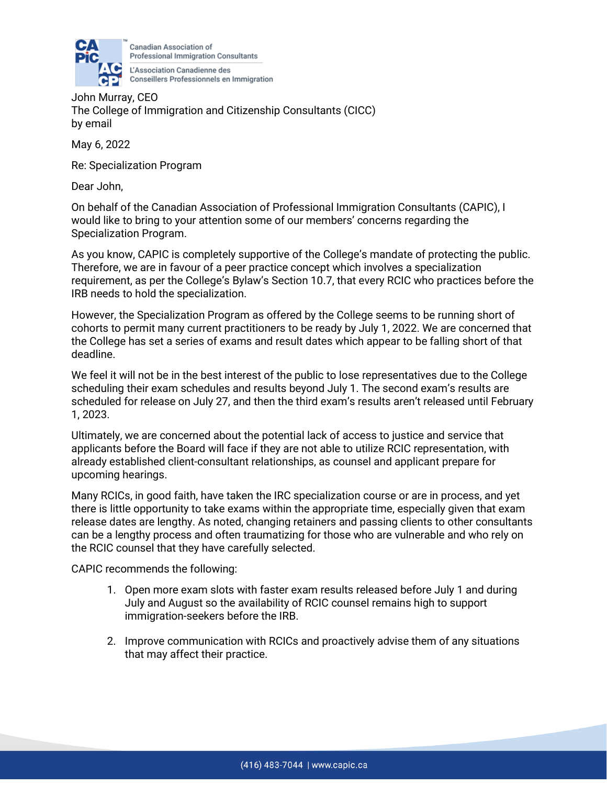

Canadian Association of **Professional Immigration Consultants** L'Association Canadienne des

**CP** Conseillers Professionnels en Immigration<br>John Murray, CEO The College of Immigration and Citizenship Consultants (CICC) by email

May 6, 2022

Re: Specialization Program

Dear John,

On behalf of the Canadian Association of Professional Immigration Consultants (CAPIC), I would like to bring to your attention some of our members' concerns regarding the Specialization Program.

As you know, CAPIC is completely supportive of the College's mandate of protecting the public. Therefore, we are in favour of a peer practice concept which involves a specialization requirement, as per the College's Bylaw's Section 10.7, that every RCIC who practices before the IRB needs to hold the specialization.

However, the Specialization Program as offered by the College seems to be running short of cohorts to permit many current practitioners to be ready by July 1, 2022. We are concerned that the College has set a series of exams and result dates which appear to be falling short of that deadline.

We feel it will not be in the best interest of the public to lose representatives due to the College scheduling their exam schedules and results beyond July 1. The second exam's results are scheduled for release on July 27, and then the third exam's results aren't released until February 1, 2023.

Ultimately, we are concerned about the potential lack of access to justice and service that applicants before the Board will face if they are not able to utilize RCIC representation, with already established client-consultant relationships, as counsel and applicant prepare for upcoming hearings.

Many RCICs, in good faith, have taken the IRC specialization course or are in process, and yet there is little opportunity to take exams within the appropriate time, especially given that exam release dates are lengthy. As noted, changing retainers and passing clients to other consultants can be a lengthy process and often traumatizing for those who are vulnerable and who rely on the RCIC counsel that they have carefully selected.

CAPIC recommends the following:

- 1. Open more exam slots with faster exam results released before July 1 and during July and August so the availability of RCIC counsel remains high to support immigration-seekers before the IRB.
- 2. Improve communication with RCICs and proactively advise them of any situations that may affect their practice.